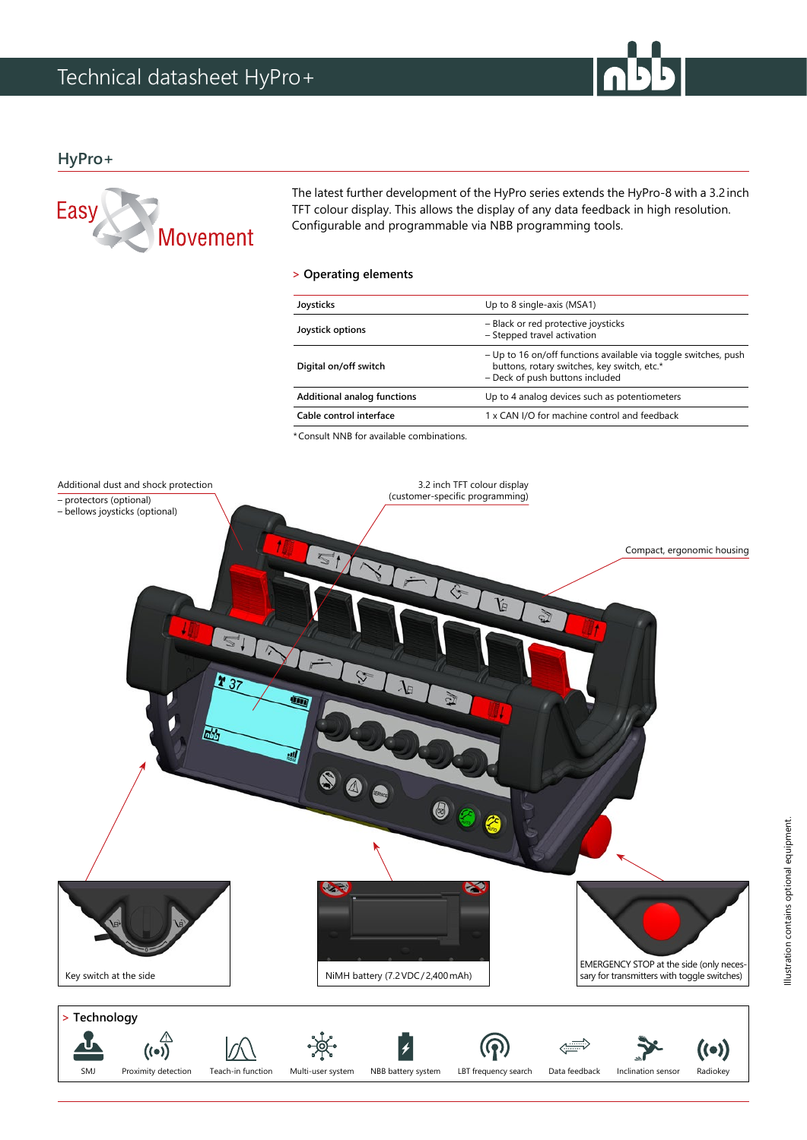

## **HyPro+**



The latest further development of the HyPro series extends the HyPro-8 with a 3.2inch TFT colour display. This allows the display of any data feedback in high resolution. Configurable and programmable via NBB programming tools.

### **> Operating elements**

| Joysticks                          | Up to 8 single-axis (MSA1)                                                                                                                        |
|------------------------------------|---------------------------------------------------------------------------------------------------------------------------------------------------|
| Joystick options                   | - Black or red protective joysticks<br>- Stepped travel activation                                                                                |
| Digital on/off switch              | - Up to 16 on/off functions available via toggle switches, push<br>buttons, rotary switches, key switch, etc.*<br>- Deck of push buttons included |
| <b>Additional analog functions</b> | Up to 4 analog devices such as potentiometers                                                                                                     |
| Cable control interface            | 1 x CAN I/O for machine control and feedback                                                                                                      |
|                                    |                                                                                                                                                   |

\*Consult NNB for available combinations.